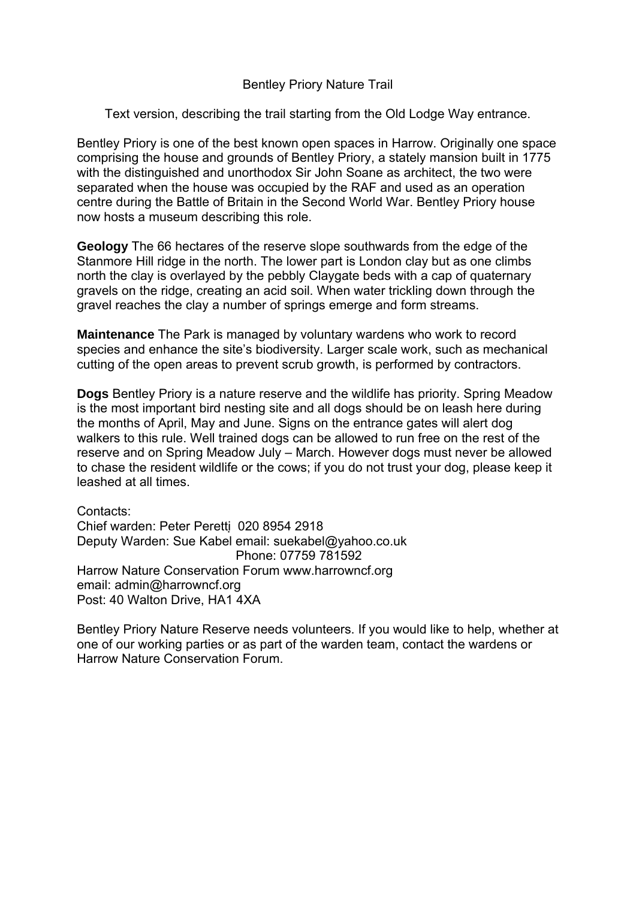## Bentley Priory Nature Trail

Text version, describing the trail starting from the Old Lodge Way entrance.

Bentley Priory is one of the best known open spaces in Harrow. Originally one space comprising the house and grounds of Bentley Priory, a stately mansion built in 1775 with the distinguished and unorthodox Sir John Soane as architect, the two were separated when the house was occupied by the RAF and used as an operation centre during the Battle of Britain in the Second World War. Bentley Priory house now hosts a museum describing this role.

**Geology** The 66 hectares of the reserve slope southwards from the edge of the Stanmore Hill ridge in the north. The lower part is London clay but as one climbs north the clay is overlayed by the pebbly Claygate beds with a cap of quaternary gravels on the ridge, creating an acid soil. When water trickling down through the gravel reaches the clay a number of springs emerge and form streams.

**Maintenance** The Park is managed by voluntary wardens who work to record species and enhance the site's biodiversity. Larger scale work, such as mechanical cutting of the open areas to prevent scrub growth, is performed by contractors.

**Dogs** Bentley Priory is a nature reserve and the wildlife has priority. Spring Meadow is the most important bird nesting site and all dogs should be on leash here during the months of April, May and June. Signs on the entrance gates will alert dog walkers to this rule. Well trained dogs can be allowed to run free on the rest of the reserve and on Spring Meadow July – March. However dogs must never be allowed to chase the resident wildlife or the cows; if you do not trust your dog, please keep it leashed at all times.

Contacts: Chief warden: Peter Peretti 020 8954 2918 Deputy Warden: Sue Kabel email: suekabel@yahoo.co.uk Phone: 07759 781592 Harrow Nature Conservation Forum www.harrowncf.org email: admin@harrowncf.org Post: 40 Walton Drive, HA1 4XA

Bentley Priory Nature Reserve needs volunteers. If you would like to help, whether at one of our working parties or as part of the warden team, contact the wardens or Harrow Nature Conservation Forum.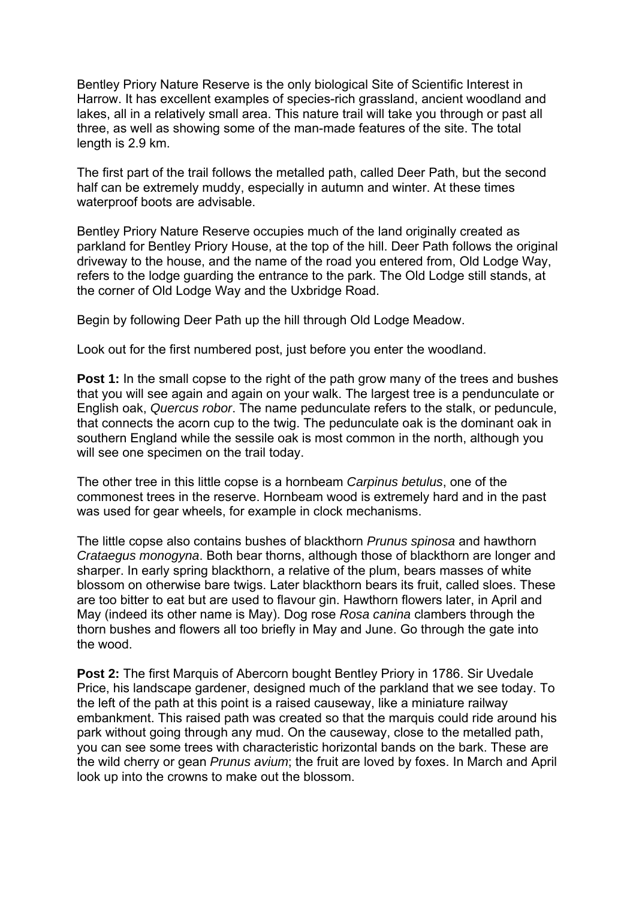Bentley Priory Nature Reserve is the only biological Site of Scientific Interest in Harrow. It has excellent examples of species-rich grassland, ancient woodland and lakes, all in a relatively small area. This nature trail will take you through or past all three, as well as showing some of the man-made features of the site. The total length is 2.9 km.

The first part of the trail follows the metalled path, called Deer Path, but the second half can be extremely muddy, especially in autumn and winter. At these times waterproof boots are advisable.

Bentley Priory Nature Reserve occupies much of the land originally created as parkland for Bentley Priory House, at the top of the hill. Deer Path follows the original driveway to the house, and the name of the road you entered from, Old Lodge Way, refers to the lodge guarding the entrance to the park. The Old Lodge still stands, at the corner of Old Lodge Way and the Uxbridge Road.

Begin by following Deer Path up the hill through Old Lodge Meadow.

Look out for the first numbered post, just before you enter the woodland.

**Post 1:** In the small copse to the right of the path grow many of the trees and bushes that you will see again and again on your walk. The largest tree is a pendunculate or English oak, *Quercus robor*. The name pedunculate refers to the stalk, or peduncule, that connects the acorn cup to the twig. The pedunculate oak is the dominant oak in southern England while the sessile oak is most common in the north, although you will see one specimen on the trail today.

The other tree in this little copse is a hornbeam *Carpinus betulus*, one of the commonest trees in the reserve. Hornbeam wood is extremely hard and in the past was used for gear wheels, for example in clock mechanisms.

The little copse also contains bushes of blackthorn *Prunus spinosa* and hawthorn *Crataegus monogyna*. Both bear thorns, although those of blackthorn are longer and sharper. In early spring blackthorn, a relative of the plum, bears masses of white blossom on otherwise bare twigs. Later blackthorn bears its fruit, called sloes. These are too bitter to eat but are used to flavour gin. Hawthorn flowers later, in April and May (indeed its other name is May). Dog rose *Rosa canina* clambers through the thorn bushes and flowers all too briefly in May and June. Go through the gate into the wood.

**Post 2:** The first Marquis of Abercorn bought Bentley Priory in 1786. Sir Uvedale Price, his landscape gardener, designed much of the parkland that we see today. To the left of the path at this point is a raised causeway, like a miniature railway embankment. This raised path was created so that the marquis could ride around his park without going through any mud. On the causeway, close to the metalled path, you can see some trees with characteristic horizontal bands on the bark. These are the wild cherry or gean *Prunus avium*; the fruit are loved by foxes. In March and April look up into the crowns to make out the blossom.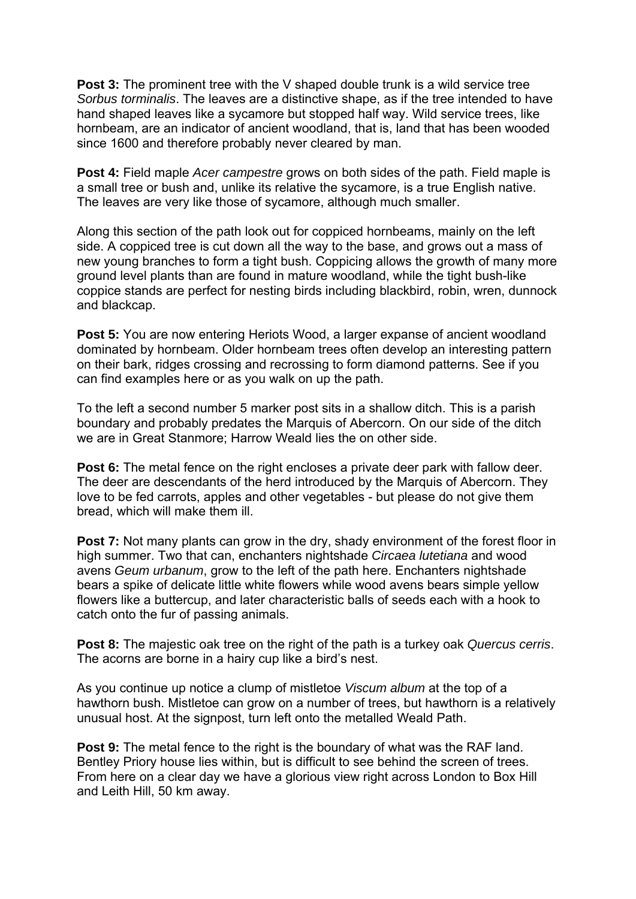**Post 3:** The prominent tree with the V shaped double trunk is a wild service tree *Sorbus torminalis*. The leaves are a distinctive shape, as if the tree intended to have hand shaped leaves like a sycamore but stopped half way. Wild service trees, like hornbeam, are an indicator of ancient woodland, that is, land that has been wooded since 1600 and therefore probably never cleared by man.

**Post 4:** Field maple *Acer campestre* grows on both sides of the path. Field maple is a small tree or bush and, unlike its relative the sycamore, is a true English native. The leaves are very like those of sycamore, although much smaller.

Along this section of the path look out for coppiced hornbeams, mainly on the left side. A coppiced tree is cut down all the way to the base, and grows out a mass of new young branches to form a tight bush. Coppicing allows the growth of many more ground level plants than are found in mature woodland, while the tight bush-like coppice stands are perfect for nesting birds including blackbird, robin, wren, dunnock and blackcap.

**Post 5:** You are now entering Heriots Wood, a larger expanse of ancient woodland dominated by hornbeam. Older hornbeam trees often develop an interesting pattern on their bark, ridges crossing and recrossing to form diamond patterns. See if you can find examples here or as you walk on up the path.

To the left a second number 5 marker post sits in a shallow ditch. This is a parish boundary and probably predates the Marquis of Abercorn. On our side of the ditch we are in Great Stanmore; Harrow Weald lies the on other side.

**Post 6:** The metal fence on the right encloses a private deer park with fallow deer. The deer are descendants of the herd introduced by the Marquis of Abercorn. They love to be fed carrots, apples and other vegetables - but please do not give them bread, which will make them ill.

**Post 7:** Not many plants can grow in the dry, shady environment of the forest floor in high summer. Two that can, enchanters nightshade *Circaea lutetiana* and wood avens *Geum urbanum*, grow to the left of the path here. Enchanters nightshade bears a spike of delicate little white flowers while wood avens bears simple yellow flowers like a buttercup, and later characteristic balls of seeds each with a hook to catch onto the fur of passing animals.

**Post 8:** The majestic oak tree on the right of the path is a turkey oak *Quercus cerris*. The acorns are borne in a hairy cup like a bird's nest.

As you continue up notice a clump of mistletoe *Viscum album* at the top of a hawthorn bush. Mistletoe can grow on a number of trees, but hawthorn is a relatively unusual host. At the signpost, turn left onto the metalled Weald Path.

**Post 9:** The metal fence to the right is the boundary of what was the RAF land. Bentley Priory house lies within, but is difficult to see behind the screen of trees. From here on a clear day we have a glorious view right across London to Box Hill and Leith Hill, 50 km away.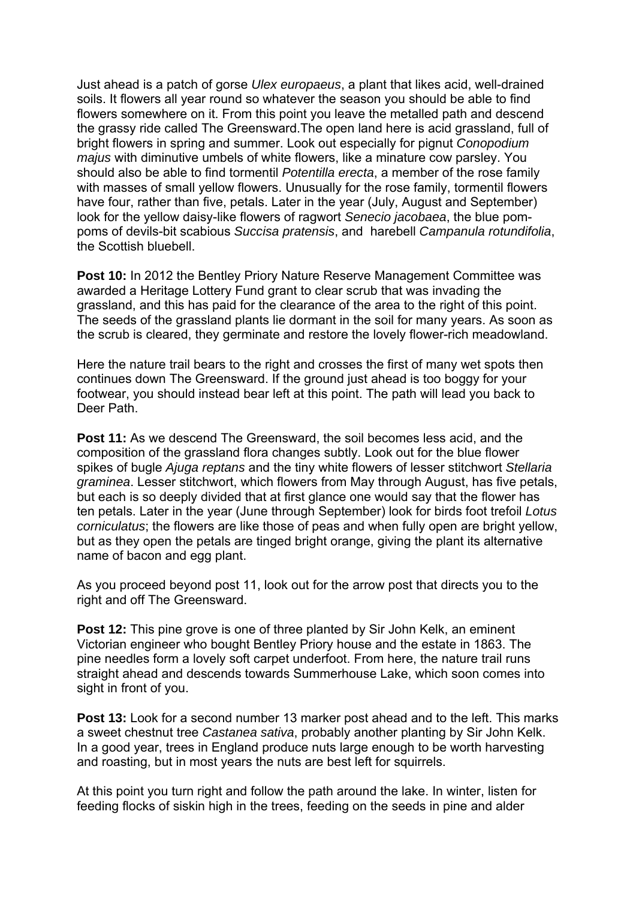Just ahead is a patch of gorse *Ulex europaeus*, a plant that likes acid, well-drained soils. It flowers all year round so whatever the season you should be able to find flowers somewhere on it. From this point you leave the metalled path and descend the grassy ride called The Greensward.The open land here is acid grassland, full of bright flowers in spring and summer. Look out especially for pignut *Conopodium majus* with diminutive umbels of white flowers, like a minature cow parsley. You should also be able to find tormentil *Potentilla erecta*, a member of the rose family with masses of small yellow flowers. Unusually for the rose family, tormentil flowers have four, rather than five, petals. Later in the year (July, August and September) look for the yellow daisy-like flowers of ragwort *Senecio jacobaea*, the blue pompoms of devils-bit scabious *Succisa pratensis*, and harebell *Campanula rotundifolia*, the Scottish bluebell.

**Post 10:** In 2012 the Bentley Priory Nature Reserve Management Committee was awarded a Heritage Lottery Fund grant to clear scrub that was invading the grassland, and this has paid for the clearance of the area to the right of this point. The seeds of the grassland plants lie dormant in the soil for many years. As soon as the scrub is cleared, they germinate and restore the lovely flower-rich meadowland.

Here the nature trail bears to the right and crosses the first of many wet spots then continues down The Greensward. If the ground just ahead is too boggy for your footwear, you should instead bear left at this point. The path will lead you back to Deer Path.

**Post 11:** As we descend The Greensward, the soil becomes less acid, and the composition of the grassland flora changes subtly. Look out for the blue flower spikes of bugle *Ajuga reptans* and the tiny white flowers of lesser stitchwort *Stellaria graminea*. Lesser stitchwort, which flowers from May through August, has five petals, but each is so deeply divided that at first glance one would say that the flower has ten petals. Later in the year (June through September) look for birds foot trefoil *Lotus corniculatus*; the flowers are like those of peas and when fully open are bright yellow, but as they open the petals are tinged bright orange, giving the plant its alternative name of bacon and egg plant.

As you proceed beyond post 11, look out for the arrow post that directs you to the right and off The Greensward.

**Post 12:** This pine grove is one of three planted by Sir John Kelk, an eminent Victorian engineer who bought Bentley Priory house and the estate in 1863. The pine needles form a lovely soft carpet underfoot. From here, the nature trail runs straight ahead and descends towards Summerhouse Lake, which soon comes into sight in front of you.

**Post 13:** Look for a second number 13 marker post ahead and to the left. This marks a sweet chestnut tree *Castanea sativa*, probably another planting by Sir John Kelk. In a good year, trees in England produce nuts large enough to be worth harvesting and roasting, but in most years the nuts are best left for squirrels.

At this point you turn right and follow the path around the lake. In winter, listen for feeding flocks of siskin high in the trees, feeding on the seeds in pine and alder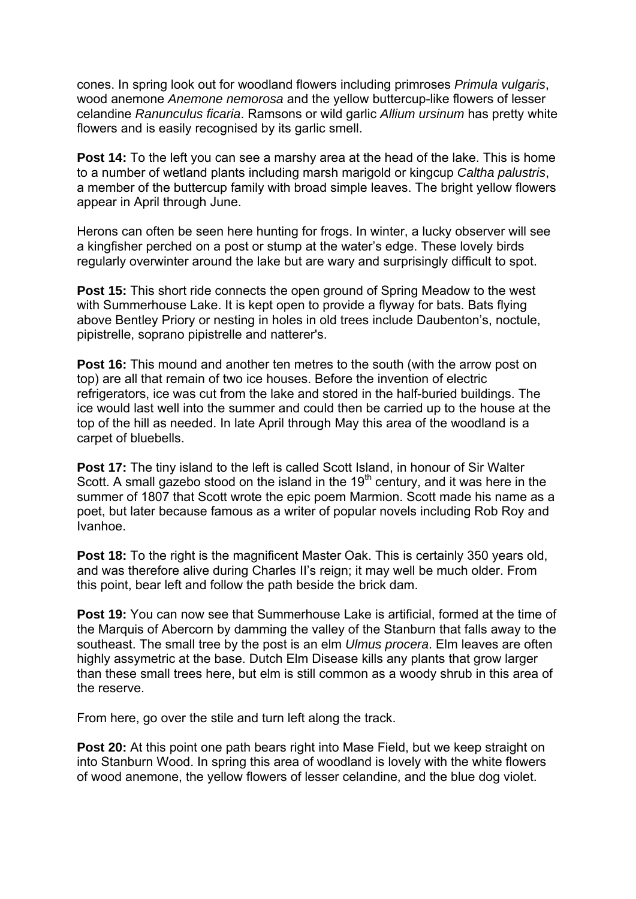cones. In spring look out for woodland flowers including primroses *Primula vulgaris*, wood anemone *Anemone nemorosa* and the yellow buttercup-like flowers of lesser celandine *Ranunculus ficaria*. Ramsons or wild garlic *Allium ursinum* has pretty white flowers and is easily recognised by its garlic smell.

**Post 14:** To the left you can see a marshy area at the head of the lake. This is home to a number of wetland plants including marsh marigold or kingcup *Caltha palustris*, a member of the buttercup family with broad simple leaves. The bright yellow flowers appear in April through June.

Herons can often be seen here hunting for frogs. In winter, a lucky observer will see a kingfisher perched on a post or stump at the water's edge. These lovely birds regularly overwinter around the lake but are wary and surprisingly difficult to spot.

**Post 15:** This short ride connects the open ground of Spring Meadow to the west with Summerhouse Lake. It is kept open to provide a flyway for bats. Bats flying above Bentley Priory or nesting in holes in old trees include Daubenton's, noctule, pipistrelle, soprano pipistrelle and natterer's.

**Post 16:** This mound and another ten metres to the south (with the arrow post on top) are all that remain of two ice houses. Before the invention of electric refrigerators, ice was cut from the lake and stored in the half-buried buildings. The ice would last well into the summer and could then be carried up to the house at the top of the hill as needed. In late April through May this area of the woodland is a carpet of bluebells.

**Post 17:** The tiny island to the left is called Scott Island, in honour of Sir Walter Scott. A small gazebo stood on the island in the  $19<sup>th</sup>$  century, and it was here in the summer of 1807 that Scott wrote the epic poem Marmion. Scott made his name as a poet, but later because famous as a writer of popular novels including Rob Roy and Ivanhoe.

**Post 18:** To the right is the magnificent Master Oak. This is certainly 350 years old, and was therefore alive during Charles II's reign; it may well be much older. From this point, bear left and follow the path beside the brick dam.

**Post 19:** You can now see that Summerhouse Lake is artificial, formed at the time of the Marquis of Abercorn by damming the valley of the Stanburn that falls away to the southeast. The small tree by the post is an elm *Ulmus procera*. Elm leaves are often highly assymetric at the base. Dutch Elm Disease kills any plants that grow larger than these small trees here, but elm is still common as a woody shrub in this area of the reserve.

From here, go over the stile and turn left along the track.

**Post 20:** At this point one path bears right into Mase Field, but we keep straight on into Stanburn Wood. In spring this area of woodland is lovely with the white flowers of wood anemone, the yellow flowers of lesser celandine, and the blue dog violet.